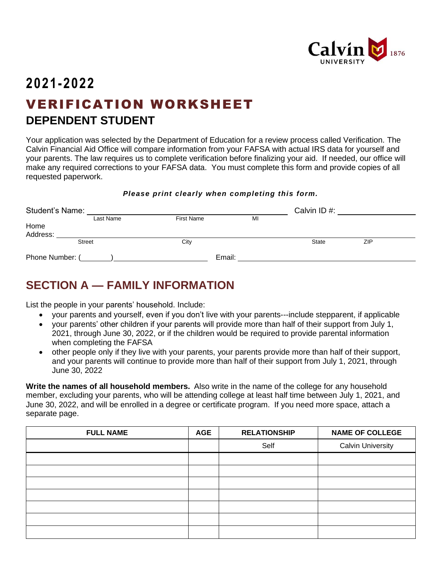

# **2021-2022** VERIFICATION WORKSHEET **DEPENDENT STUDENT**

Your application was selected by the Department of Education for a review process called Verification. The Calvin Financial Aid Office will compare information from your FAFSA with actual IRS data for yourself and your parents. The law requires us to complete verification before finalizing your aid. If needed, our office will make any required corrections to your FAFSA data. You must complete this form and provide copies of all requested paperwork.

#### *Please print clearly when completing this form.*

| <b>Student's Name:</b> |               |                   |    | Calvin ID#:  |     |  |
|------------------------|---------------|-------------------|----|--------------|-----|--|
|                        | Last Name     | <b>First Name</b> | MI |              |     |  |
| Home                   |               |                   |    |              |     |  |
| Address:               |               |                   |    |              |     |  |
|                        | <b>Street</b> | City              |    | <b>State</b> | ZIP |  |
| Phone Number: (        |               | Email:            |    |              |     |  |

## **SECTION A — FAMILY INFORMATION**

List the people in your parents' household. Include:

- your parents and yourself, even if you don't live with your parents---include stepparent, if applicable
- your parents' other children if your parents will provide more than half of their support from July 1, 2021, through June 30, 2022, or if the children would be required to provide parental information when completing the FAFSA
- other people only if they live with your parents, your parents provide more than half of their support, and your parents will continue to provide more than half of their support from July 1, 2021, through June 30, 2022

**Write the names of all household members.** Also write in the name of the college for any household member, excluding your parents, who will be attending college at least half time between July 1, 2021, and June 30, 2022, and will be enrolled in a degree or certificate program. If you need more space, attach a separate page.

| <b>FULL NAME</b> | <b>AGE</b> | <b>RELATIONSHIP</b> | <b>NAME OF COLLEGE</b>   |
|------------------|------------|---------------------|--------------------------|
|                  |            | Self                | <b>Calvin University</b> |
|                  |            |                     |                          |
|                  |            |                     |                          |
|                  |            |                     |                          |
|                  |            |                     |                          |
|                  |            |                     |                          |
|                  |            |                     |                          |
|                  |            |                     |                          |